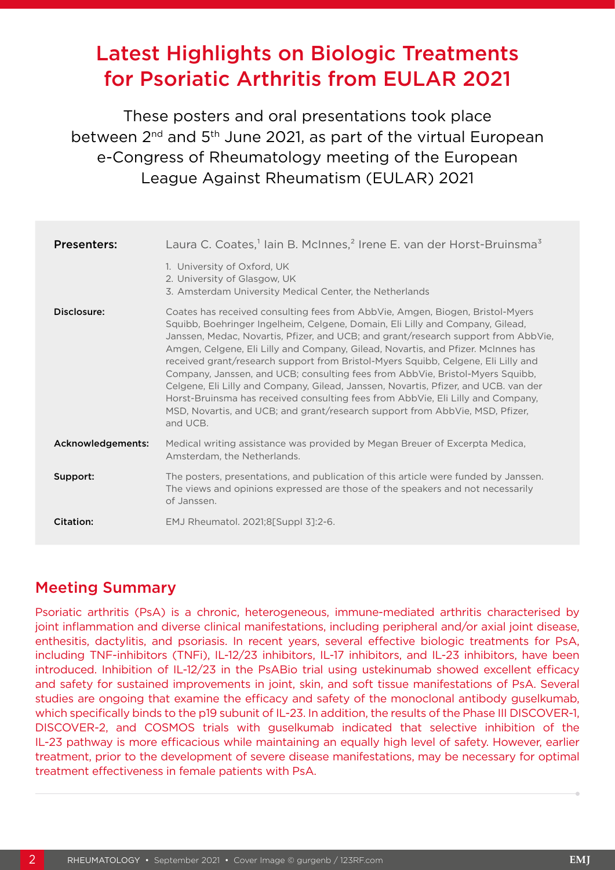# Latest Highlights on Biologic Treatments for Psoriatic Arthritis from EULAR 2021

These posters and oral presentations took place between 2<sup>nd</sup> and 5<sup>th</sup> June 2021, as part of the virtual European e-Congress of Rheumatology meeting of the European League Against Rheumatism (EULAR) 2021

| <b>Presenters:</b> | Laura C. Coates, <sup>1</sup> lain B. McInnes, <sup>2</sup> Irene E. van der Horst-Bruinsma <sup>3</sup>                                                                                                                                                                                                                                                                                                                                                                                                                                                                                                                                                                                                                                                                             |
|--------------------|--------------------------------------------------------------------------------------------------------------------------------------------------------------------------------------------------------------------------------------------------------------------------------------------------------------------------------------------------------------------------------------------------------------------------------------------------------------------------------------------------------------------------------------------------------------------------------------------------------------------------------------------------------------------------------------------------------------------------------------------------------------------------------------|
|                    | 1. University of Oxford, UK<br>2. University of Glasgow, UK<br>3. Amsterdam University Medical Center, the Netherlands                                                                                                                                                                                                                                                                                                                                                                                                                                                                                                                                                                                                                                                               |
| Disclosure:        | Coates has received consulting fees from AbbVie, Amgen, Biogen, Bristol-Myers<br>Squibb, Boehringer Ingelheim, Celgene, Domain, Eli Lilly and Company, Gilead,<br>Janssen, Medac, Novartis, Pfizer, and UCB; and grant/research support from AbbVie,<br>Amgen, Celgene, Eli Lilly and Company, Gilead, Novartis, and Pfizer. McInnes has<br>received grant/research support from Bristol-Myers Squibb, Celgene, Eli Lilly and<br>Company, Janssen, and UCB; consulting fees from AbbVie, Bristol-Myers Squibb,<br>Celgene, Eli Lilly and Company, Gilead, Janssen, Novartis, Pfizer, and UCB. van der<br>Horst-Bruinsma has received consulting fees from AbbVie, Eli Lilly and Company,<br>MSD, Novartis, and UCB; and grant/research support from AbbVie, MSD, Pfizer,<br>and UCB. |
| Acknowledgements:  | Medical writing assistance was provided by Megan Breuer of Excerpta Medica,<br>Amsterdam, the Netherlands.                                                                                                                                                                                                                                                                                                                                                                                                                                                                                                                                                                                                                                                                           |
| Support:           | The posters, presentations, and publication of this article were funded by Janssen.<br>The views and opinions expressed are those of the speakers and not necessarily<br>of Janssen.                                                                                                                                                                                                                                                                                                                                                                                                                                                                                                                                                                                                 |
| Citation:          | EMJ Rheumatol. 2021;8[Suppl 3]:2-6.                                                                                                                                                                                                                                                                                                                                                                                                                                                                                                                                                                                                                                                                                                                                                  |

# Meeting Summary

Psoriatic arthritis (PsA) is a chronic, heterogeneous, immune-mediated arthritis characterised by joint inflammation and diverse clinical manifestations, including peripheral and/or axial joint disease, enthesitis, dactylitis, and psoriasis. In recent years, several effective biologic treatments for PsA, including TNF-inhibitors (TNFi), IL-12/23 inhibitors, IL-17 inhibitors, and IL-23 inhibitors, have been introduced. Inhibition of IL-12/23 in the PsABio trial using ustekinumab showed excellent efficacy and safety for sustained improvements in joint, skin, and soft tissue manifestations of PsA. Several studies are ongoing that examine the efficacy and safety of the monoclonal antibody guselkumab, which specifically binds to the p19 subunit of IL-23. In addition, the results of the Phase III DISCOVER-1, DISCOVER-2, and COSMOS trials with guselkumab indicated that selective inhibition of the IL-23 pathway is more efficacious while maintaining an equally high level of safety. However, earlier treatment, prior to the development of severe disease manifestations, may be necessary for optimal treatment effectiveness in female patients with PsA.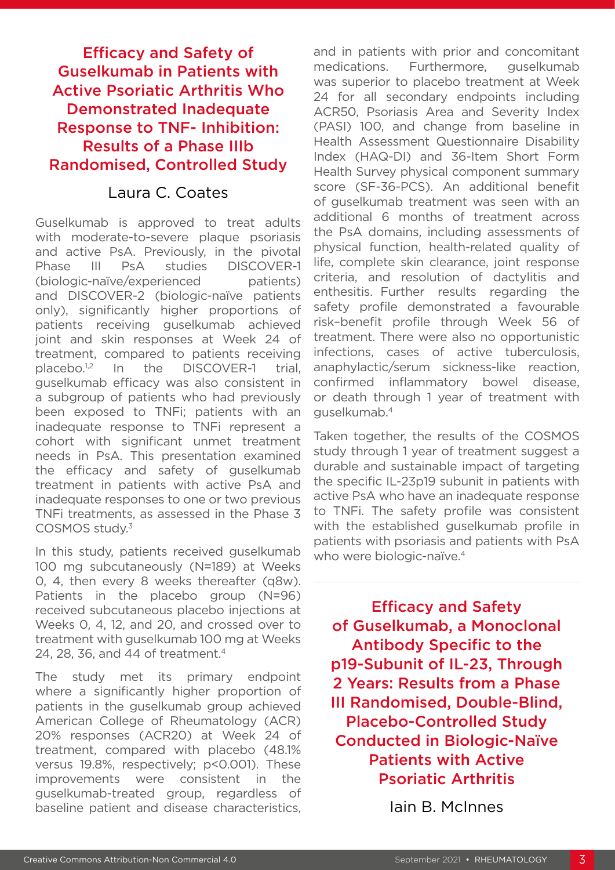# Efficacy and Safety of Guselkumab in Patients with Active Psoriatic Arthritis Who Demonstrated Inadequate Response to TNF- Inhibition: Results of a Phase IIIb Randomised, Controlled Study

### Laura C. Coates

Guselkumab is approved to treat adults with moderate-to-severe plaque psoriasis and active PsA. Previously, in the pivotal Phase III PsA studies DISCOVER-1 (biologic-naïve/experienced patients) and DISCOVER-2 (biologic-naïve patients only), significantly higher proportions of patients receiving guselkumab achieved joint and skin responses at Week 24 of treatment, compared to patients receiving placebo.<sup>1,2</sup> In the DISCOVER-1 trial, guselkumab efficacy was also consistent in a subgroup of patients who had previously been exposed to TNFi; patients with an inadequate response to TNFi represent a cohort with significant unmet treatment needs in PsA. This presentation examined the efficacy and safety of guselkumab treatment in patients with active PsA and inadequate responses to one or two previous TNFi treatments, as assessed in the Phase 3 COSMOS study.3

In this study, patients received guselkumab 100 mg subcutaneously (N=189) at Weeks 0, 4, then every 8 weeks thereafter (q8w). Patients in the placebo group (N=96) received subcutaneous placebo injections at Weeks 0, 4, 12, and 20, and crossed over to treatment with guselkumab 100 mg at Weeks 24, 28, 36, and 44 of treatment.4

The study met its primary endpoint where a significantly higher proportion of patients in the guselkumab group achieved American College of Rheumatology (ACR) 20% responses (ACR20) at Week 24 of treatment, compared with placebo (48.1% versus 19.8%, respectively; p<0.001). These improvements were consistent in the guselkumab-treated group, regardless of baseline patient and disease characteristics, and in patients with prior and concomitant medications. Furthermore, guselkumab was superior to placebo treatment at Week 24 for all secondary endpoints including ACR50, Psoriasis Area and Severity Index (PASI) 100, and change from baseline in Health Assessment Questionnaire Disability Index (HAQ-DI) and 36-Item Short Form Health Survey physical component summary score (SF-36-PCS). An additional benefit of guselkumab treatment was seen with an additional 6 months of treatment across the PsA domains, including assessments of physical function, health-related quality of life, complete skin clearance, joint response criteria, and resolution of dactylitis and enthesitis. Further results regarding the safety profile demonstrated a favourable risk–benefit profile through Week 56 of treatment. There were also no opportunistic infections, cases of active tuberculosis, anaphylactic/serum sickness-like reaction, confirmed inflammatory bowel disease, or death through 1 year of treatment with guselkumab.4

Taken together, the results of the COSMOS study through 1 year of treatment suggest a durable and sustainable impact of targeting the specific IL-23p19 subunit in patients with active PsA who have an inadequate response to TNFi. The safety profile was consistent with the established guselkumab profile in patients with psoriasis and patients with PsA who were biologic-naïve.<sup>4</sup>

Efficacy and Safety of Guselkumab, a Monoclonal Antibody Specific to the p19-Subunit of IL-23, Through 2 Years: Results from a Phase III Randomised, Double-Blind, Placebo-Controlled Study Conducted in Biologic-Naïve Patients with Active Psoriatic Arthritis

Iain B. McInnes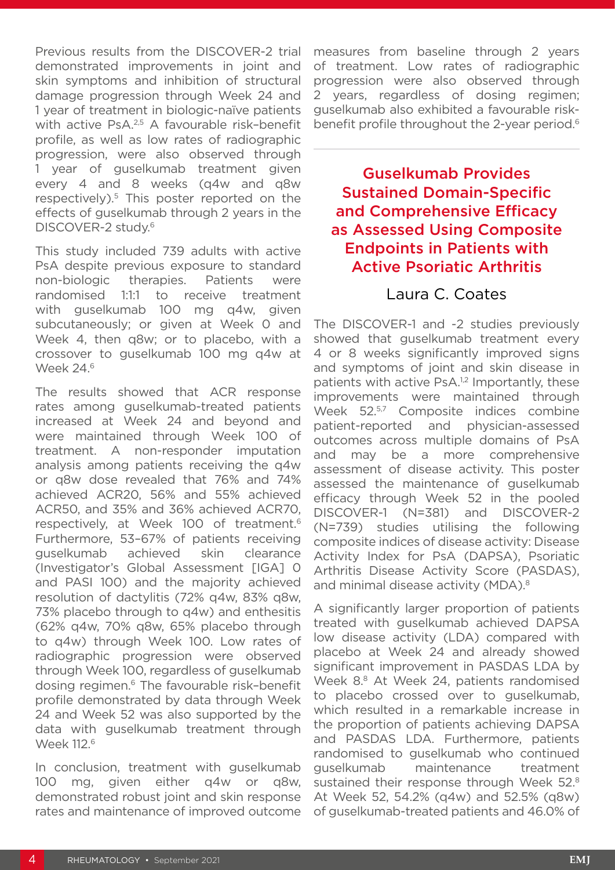Previous results from the DISCOVER-2 trial demonstrated improvements in joint and skin symptoms and inhibition of structural damage progression through Week 24 and 1 year of treatment in biologic-naïve patients with active PsA.<sup>2,5</sup> A favourable risk-benefit profile, as well as low rates of radiographic progression, were also observed through 1 year of guselkumab treatment given every 4 and 8 weeks (q4w and q8w respectively).<sup>5</sup> This poster reported on the effects of guselkumab through 2 years in the DISCOVER-2 study.<sup>6</sup>

This study included 739 adults with active PsA despite previous exposure to standard non-biologic therapies. Patients were randomised 1:1:1 to receive treatment with guselkumab 100 mg q4w, given subcutaneously; or given at Week 0 and Week 4, then q8w; or to placebo, with a crossover to guselkumab 100 mg q4w at Week 24.<sup>6</sup>

The results showed that ACR response rates among guselkumab-treated patients increased at Week 24 and beyond and were maintained through Week 100 of treatment. A non-responder imputation analysis among patients receiving the q4w or q8w dose revealed that 76% and 74% achieved ACR20, 56% and 55% achieved ACR50, and 35% and 36% achieved ACR70, respectively, at Week 100 of treatment.6 Furthermore, 53–67% of patients receiving guselkumab achieved skin clearance (Investigator's Global Assessment [IGA] 0 and PASI 100) and the majority achieved resolution of dactylitis (72% q4w, 83% q8w, 73% placebo through to q4w) and enthesitis (62% q4w, 70% q8w, 65% placebo through to q4w) through Week 100. Low rates of radiographic progression were observed through Week 100, regardless of guselkumab dosing regimen.6 The favourable risk–benefit profile demonstrated by data through Week 24 and Week 52 was also supported by the data with guselkumab treatment through Week 112.<sup>6</sup>

In conclusion, treatment with guselkumab 100 mg, given either q4w or q8w, demonstrated robust joint and skin response rates and maintenance of improved outcome

measures from baseline through 2 years of treatment. Low rates of radiographic progression were also observed through 2 years, regardless of dosing regimen; guselkumab also exhibited a favourable riskbenefit profile throughout the 2-year period.<sup>6</sup>

# Guselkumab Provides Sustained Domain-Specific and Comprehensive Efficacy as Assessed Using Composite Endpoints in Patients with Active Psoriatic Arthritis

#### Laura C. Coates

The DISCOVER-1 and -2 studies previously showed that guselkumab treatment every 4 or 8 weeks significantly improved signs and symptoms of joint and skin disease in patients with active PsA.<sup>1,2</sup> Importantly, these improvements were maintained through Week 52.5,7 Composite indices combine patient-reported and physician-assessed outcomes across multiple domains of PsA and may be a more comprehensive assessment of disease activity. This poster assessed the maintenance of guselkumab efficacy through Week 52 in the pooled DISCOVER-1 (N=381) and DISCOVER-2 (N=739) studies utilising the following composite indices of disease activity: Disease Activity Index for PsA (DAPSA), Psoriatic Arthritis Disease Activity Score (PASDAS), and minimal disease activity (MDA).<sup>8</sup>

A significantly larger proportion of patients treated with guselkumab achieved DAPSA low disease activity (LDA) compared with placebo at Week 24 and already showed significant improvement in PASDAS LDA by Week 8.<sup>8</sup> At Week 24, patients randomised to placebo crossed over to guselkumab, which resulted in a remarkable increase in the proportion of patients achieving DAPSA and PASDAS LDA. Furthermore, patients randomised to guselkumab who continued guselkumab maintenance treatment sustained their response through Week 52.8 At Week 52, 54.2% (q4w) and 52.5% (q8w) of guselkumab-treated patients and 46.0% of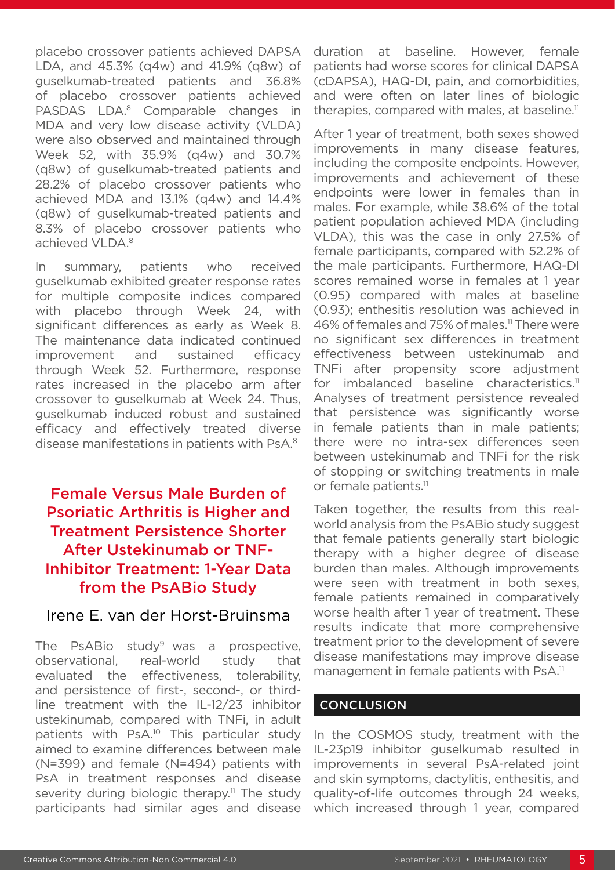placebo crossover patients achieved DAPSA LDA, and 45.3% (q4w) and 41.9% (q8w) of guselkumab-treated patients and 36.8% of placebo crossover patients achieved PASDAS LDA.<sup>8</sup> Comparable changes in MDA and very low disease activity (VLDA) were also observed and maintained through Week 52, with 35.9% (q4w) and 30.7% (q8w) of guselkumab-treated patients and 28.2% of placebo crossover patients who achieved MDA and 13.1% (q4w) and 14.4% (q8w) of guselkumab-treated patients and 8.3% of placebo crossover patients who achieved VLDA.8

In summary, patients who received guselkumab exhibited greater response rates for multiple composite indices compared with placebo through Week 24, with significant differences as early as Week 8. The maintenance data indicated continued improvement and sustained efficacy through Week 52. Furthermore, response rates increased in the placebo arm after crossover to guselkumab at Week 24. Thus, guselkumab induced robust and sustained efficacy and effectively treated diverse disease manifestations in patients with PsA.8

# Female Versus Male Burden of Psoriatic Arthritis is Higher and Treatment Persistence Shorter After Ustekinumab or TNF-Inhibitor Treatment: 1-Year Data from the PsABio Study

#### Irene E. van der Horst-Bruinsma

The PsABio study<sup>9</sup> was a prospective, observational, real-world study that evaluated the effectiveness, tolerability, and persistence of first-, second-, or thirdline treatment with the IL-12/23 inhibitor ustekinumab, compared with TNFi, in adult patients with PsA.<sup>10</sup> This particular study aimed to examine differences between male (N=399) and female (N=494) patients with PsA in treatment responses and disease severity during biologic therapy.<sup>11</sup> The study participants had similar ages and disease

duration at baseline. However, female patients had worse scores for clinical DAPSA (cDAPSA), HAQ-DI, pain, and comorbidities, and were often on later lines of biologic therapies, compared with males, at baseline.<sup>11</sup>

After 1 year of treatment, both sexes showed improvements in many disease features, including the composite endpoints. However, improvements and achievement of these endpoints were lower in females than in males. For example, while 38.6% of the total patient population achieved MDA (including VLDA), this was the case in only 27.5% of female participants, compared with 52.2% of the male participants. Furthermore, HAQ-DI scores remained worse in females at 1 year (0.95) compared with males at baseline (0.93); enthesitis resolution was achieved in 46% of females and 75% of males.<sup>11</sup> There were no significant sex differences in treatment effectiveness between ustekinumab and TNFi after propensity score adjustment for imbalanced baseline characteristics.<sup>11</sup> Analyses of treatment persistence revealed that persistence was significantly worse in female patients than in male patients; there were no intra-sex differences seen between ustekinumab and TNFi for the risk of stopping or switching treatments in male or female patients.<sup>11</sup>

Taken together, the results from this realworld analysis from the PsABio study suggest that female patients generally start biologic therapy with a higher degree of disease burden than males. Although improvements were seen with treatment in both sexes, female patients remained in comparatively worse health after 1 year of treatment. These results indicate that more comprehensive treatment prior to the development of severe disease manifestations may improve disease management in female patients with PsA.<sup>11</sup>

#### **CONCLUSION**

In the COSMOS study, treatment with the IL-23p19 inhibitor guselkumab resulted in improvements in several PsA-related joint and skin symptoms, dactylitis, enthesitis, and quality-of-life outcomes through 24 weeks, which increased through 1 year, compared